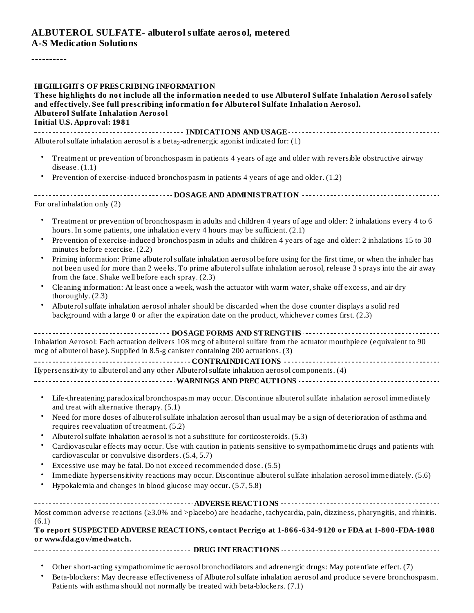#### **ALBUTEROL SULFATE- albuterol sulfate aerosol, metered A-S Medication Solutions**

----------

#### **HIGHLIGHTS OF PRESCRIBING INFORMATION**

**These highlights do not include all the information needed to use Albuterol Sulfate Inhalation Aerosol safely and effectively. See full prescribing information for Albuterol Sulfate Inhalation Aerosol. Albuterol Sulfate Inhalation Aerosol Initial U.S. Approval: 1981**

**INDICATIONS AND USAGE INDICATIONS AND USAGE** *CONSIDERATIONS* **AND USAGE** *AND* **USAGE** *AND* **USAGE** *AND* Albuterol sulfate inhalation aerosol is a beta $_2$ -adrenergic agonist indicated for: (1)

- Treatment or prevention of bronchospasm in patients 4 years of age and older with reversible obstructive airway disease. (1.1)
- Prevention of exercise-induced bronchospasm in patients 4 years of age and older. (1.2)

| For oral inhalation only $(2)$ |  |  |  |  |
|--------------------------------|--|--|--|--|

- Treatment or prevention of bronchospasm in adults and children 4 years of age and older: 2 inhalations every 4 to 6 hours. In some patients, one inhalation every 4 hours may be sufficient. (2.1)
- Prevention of exercise-induced bronchospasm in adults and children 4 years of age and older: 2 inhalations 15 to 30 minutes before exercise. (2.2)
- Priming information: Prime albuterolsulfate inhalation aerosol before using for the first time, or when the inhaler has not been used for more than 2 weeks. To prime albuterol sulfate inhalation aerosol, release 3 sprays into the air away from the face. Shake well before each spray. (2.3)
- Cleaning information: At least once a week, wash the actuator with warm water, shake off excess, and air dry thoroughly. (2.3)
- Albuterolsulfate inhalation aerosol inhaler should be discarded when the dose counter displays a solid red background with a large **0** or after the expiration date on the product, whichever comes first. (2.3)

| Inhalation Aerosol: Each actuation delivers 108 mcg of albuterol sulfate from the actuator mouthpiece (equivalent to 90 |  |  |  |
|-------------------------------------------------------------------------------------------------------------------------|--|--|--|
| mcg of albuterol base). Supplied in 8.5-g canister containing 200 actuations. (3)                                       |  |  |  |
|                                                                                                                         |  |  |  |
| Hypersensitivity to albuterol and any other Albuterol sulfate inhalation aerosol components. (4)                        |  |  |  |
|                                                                                                                         |  |  |  |

- Life-threatening paradoxical bronchospasm may occur. Discontinue albuterolsulfate inhalation aerosol immediately and treat with alternative therapy. (5.1)
- Need for more doses of albuterol sulfate inhalation aerosol than usual may be a sign of deterioration of asthma and requires reevaluation of treatment. (5.2)
- Albuterol sulfate inhalation aerosol is not a substitute for corticosteroids. (5.3)
- Cardiovascular effects may occur. Use with caution in patients sensitive to sympathomimetic drugs and patients with cardiovascular or convulsive disorders. (5.4, 5.7)
- Excessive use may be fatal. Do not exceed recommended dose. (5.5)
- Immediate hypersensitivity reactions may occur. Discontinue albuterolsulfate inhalation aerosol immediately. (5.6)
- Hypokalemia and changes in blood glucose may occur. (5.7, 5.8)

| Most common adverse reactions ( $\geq 3.0\%$ and $>$ placebo) are headache, tachycardia, pain, dizziness, pharyngitis, and rhinitis. |  |  |  |  |
|--------------------------------------------------------------------------------------------------------------------------------------|--|--|--|--|
| (6.1)                                                                                                                                |  |  |  |  |

#### **To report SUSPECTED ADVERSE REACTIONS, contact Perrigo at 1-866-634-9120 or FDA at 1-800-FDA-1088 or www.fda.gov/medwatch.**

- **DRUG INTERACTIONS**
	- Other short-acting sympathomimetic aerosol bronchodilators and adrenergic drugs: May potentiate effect. (7)
	- Beta-blockers: May decrease effectiveness of Albuterol sulfate inhalation aerosol and produce severe bronchospasm. Patients with asthma should not normally be treated with beta-blockers. (7.1)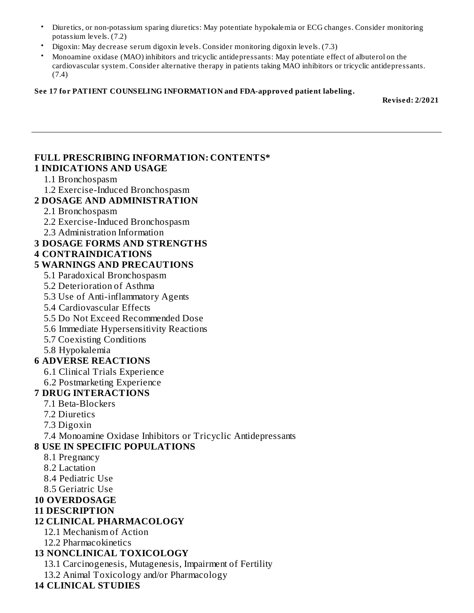- Diuretics, or non-potassium sparing diuretics: May potentiate hypokalemia or ECG changes. Consider monitoring potassium levels. (7.2)
- Digoxin: May decrease serum digoxin levels. Consider monitoring digoxin levels. (7.3)
- Monoamine oxidase (MAO) inhibitors and tricyclic antidepressants: May potentiate effect of albuterol on the cardiovascular system. Consider alternative therapy in patients taking MAO inhibitors or tricyclic antidepressants. (7.4)

#### **See 17 for PATIENT COUNSELING INFORMATION and FDA-approved patient labeling.**

**Revised: 2/2021**

#### **FULL PRESCRIBING INFORMATION: CONTENTS\* 1 INDICATIONS AND USAGE**

#### 1.1 Bronchospasm

1.2 Exercise-Induced Bronchospasm

#### **2 DOSAGE AND ADMINISTRATION**

- 2.1 Bronchospasm
- 2.2 Exercise-Induced Bronchospasm
- 2.3 Administration Information

#### **3 DOSAGE FORMS AND STRENGTHS**

#### **4 CONTRAINDICATIONS**

#### **5 WARNINGS AND PRECAUTIONS**

5.1 Paradoxical Bronchospasm

- 5.2 Deterioration of Asthma
- 5.3 Use of Anti-inflammatory Agents
- 5.4 Cardiovascular Effects
- 5.5 Do Not Exceed Recommended Dose
- 5.6 Immediate Hypersensitivity Reactions
- 5.7 Coexisting Conditions
- 5.8 Hypokalemia

#### **6 ADVERSE REACTIONS**

- 6.1 Clinical Trials Experience
- 6.2 Postmarketing Experience

#### **7 DRUG INTERACTIONS**

- 7.1 Beta-Blockers
- 7.2 Diuretics
- 7.3 Digoxin

7.4 Monoamine Oxidase Inhibitors or Tricyclic Antidepressants

#### **8 USE IN SPECIFIC POPULATIONS**

- 8.1 Pregnancy
- 8.2 Lactation
- 8.4 Pediatric Use
- 8.5 Geriatric Use

#### **10 OVERDOSAGE**

**11 DESCRIPTION**

### **12 CLINICAL PHARMACOLOGY**

- 12.1 Mechanism of Action
- 12.2 Pharmacokinetics

### **13 NONCLINICAL TOXICOLOGY**

13.1 Carcinogenesis, Mutagenesis, Impairment of Fertility

13.2 Animal Toxicology and/or Pharmacology

#### **14 CLINICAL STUDIES**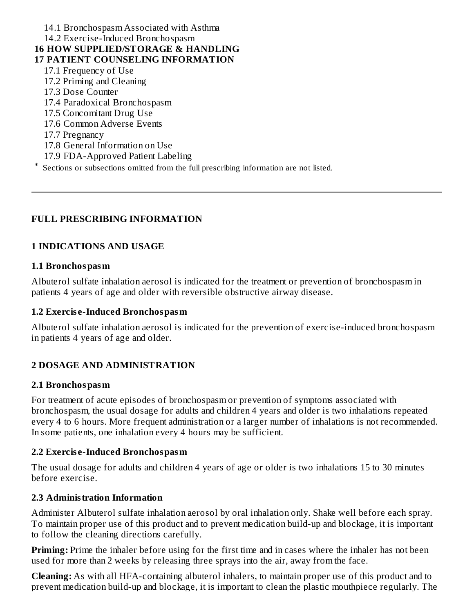#### 14.1 Bronchospasm Associated with Asthma 14.2 Exercise-Induced Bronchospasm **16 HOW SUPPLIED/STORAGE & HANDLING 17 PATIENT COUNSELING INFORMATION** 17.1 Frequency of Use 17.2 Priming and Cleaning 17.3 Dose Counter 17.4 Paradoxical Bronchospasm 17.5 Concomitant Drug Use 17.6 Common Adverse Events 17.7 Pregnancy 17.8 General Information on Use 17.9 FDA-Approved Patient Labeling \* Sections or subsections omitted from the full prescribing information are not listed.

## **FULL PRESCRIBING INFORMATION**

### **1 INDICATIONS AND USAGE**

#### **1.1 Bronchospasm**

Albuterol sulfate inhalation aerosol is indicated for the treatment or prevention of bronchospasm in patients 4 years of age and older with reversible obstructive airway disease.

#### **1.2 Exercis e-Induced Bronchospasm**

Albuterol sulfate inhalation aerosol is indicated for the prevention of exercise-induced bronchospasm in patients 4 years of age and older.

### **2 DOSAGE AND ADMINISTRATION**

#### **2.1 Bronchospasm**

For treatment of acute episodes of bronchospasm or prevention of symptoms associated with bronchospasm, the usual dosage for adults and children 4 years and older is two inhalations repeated every 4 to 6 hours. More frequent administration or a larger number of inhalations is not recommended. In some patients, one inhalation every 4 hours may be sufficient.

#### **2.2 Exercis e-Induced Bronchospasm**

The usual dosage for adults and children 4 years of age or older is two inhalations 15 to 30 minutes before exercise.

#### **2.3 Administration Information**

Administer Albuterol sulfate inhalation aerosol by oral inhalation only. Shake well before each spray. To maintain proper use of this product and to prevent medication build-up and blockage, it is important to follow the cleaning directions carefully.

**Priming:** Prime the inhaler before using for the first time and in cases where the inhaler has not been used for more than 2 weeks by releasing three sprays into the air, away from the face.

**Cleaning:** As with all HFA-containing albuterol inhalers, to maintain proper use of this product and to prevent medication build-up and blockage, it is important to clean the plastic mouthpiece regularly. The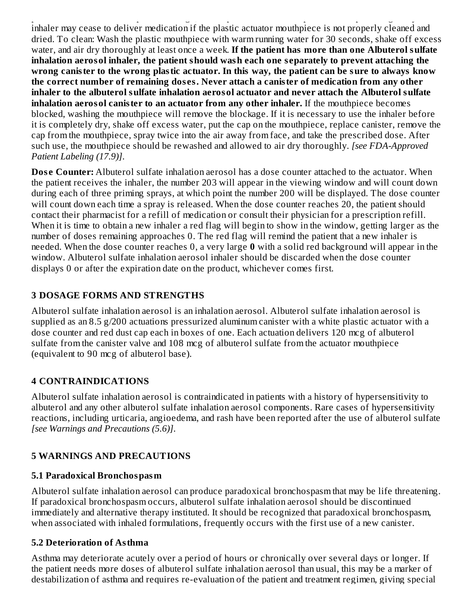prevent medication build-up and blockage, it is important to clean the plastic mouthpiece regularly. The inhaler may cease to deliver medication if the plastic actuator mouthpiece is not properly cleaned and dried. To clean: Wash the plastic mouthpiece with warm running water for 30 seconds, shake off excess water, and air dry thoroughly at least once a week. **If the patient has more than one Albuterol sulfate inhalation aerosol inhaler, the patient should wash each one s eparately to prevent attaching the wrong canister to the wrong plastic actuator. In this way, the patient can be sure to always know the correct number of remaining dos es. Never attach a canister of medication from any other inhaler to the albuterol sulfate inhalation aerosol actuator and never attach the Albuterol sulfate inhalation aerosol canister to an actuator from any other inhaler.** If the mouthpiece becomes blocked, washing the mouthpiece will remove the blockage. If it is necessary to use the inhaler before it is completely dry, shake off excess water, put the cap on the mouthpiece, replace canister, remove the cap from the mouthpiece, spray twice into the air away from face, and take the prescribed dose. After such use, the mouthpiece should be rewashed and allowed to air dry thoroughly. *[see FDA-Approved Patient Labeling (17.9)]*.

**Dose Counter:** Albuterol sulfate inhalation aerosol has a dose counter attached to the actuator. When the patient receives the inhaler, the number 203 will appear in the viewing window and will count down during each of three priming sprays, at which point the number 200 will be displayed. The dose counter will count down each time a spray is released. When the dose counter reaches 20, the patient should contact their pharmacist for a refill of medication or consult their physician for a prescription refill. When it is time to obtain a new inhaler a red flag will begin to show in the window, getting larger as the number of doses remaining approaches 0. The red flag will remind the patient that a new inhaler is needed. When the dose counter reaches 0, a very large **0** with a solid red background will appear in the window. Albuterol sulfate inhalation aerosol inhaler should be discarded when the dose counter displays 0 or after the expiration date on the product, whichever comes first.

# **3 DOSAGE FORMS AND STRENGTHS**

Albuterol sulfate inhalation aerosol is an inhalation aerosol. Albuterol sulfate inhalation aerosol is supplied as an 8.5 g/200 actuations pressurized aluminum canister with a white plastic actuator with a dose counter and red dust cap each in boxes of one. Each actuation delivers 120 mcg of albuterol sulfate from the canister valve and 108 mcg of albuterol sulfate from the actuator mouthpiece (equivalent to 90 mcg of albuterol base).

# **4 CONTRAINDICATIONS**

Albuterol sulfate inhalation aerosol is contraindicated in patients with a history of hypersensitivity to albuterol and any other albuterol sulfate inhalation aerosol components. Rare cases of hypersensitivity reactions, including urticaria, angioedema, and rash have been reported after the use of albuterol sulfate *[see Warnings and Precautions (5.6)]*.

# **5 WARNINGS AND PRECAUTIONS**

# **5.1 Paradoxical Bronchospasm**

Albuterol sulfate inhalation aerosol can produce paradoxical bronchospasm that may be life threatening. If paradoxical bronchospasm occurs, albuterol sulfate inhalation aerosol should be discontinued immediately and alternative therapy instituted. It should be recognized that paradoxical bronchospasm, when associated with inhaled formulations, frequently occurs with the first use of a new canister.

# **5.2 Deterioration of Asthma**

Asthma may deteriorate acutely over a period of hours or chronically over several days or longer. If the patient needs more doses of albuterol sulfate inhalation aerosol than usual, this may be a marker of destabilization of asthma and requires re-evaluation of the patient and treatment regimen, giving special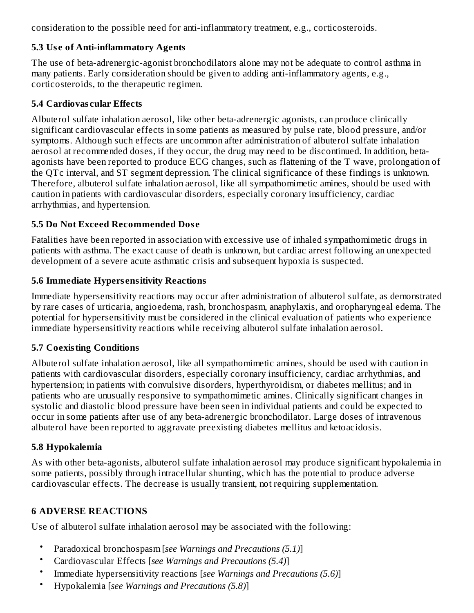consideration to the possible need for anti-inflammatory treatment, e.g., corticosteroids.

## **5.3 Us e of Anti-inflammatory Agents**

The use of beta-adrenergic-agonist bronchodilators alone may not be adequate to control asthma in many patients. Early consideration should be given to adding anti-inflammatory agents, e.g., corticosteroids, to the therapeutic regimen.

## **5.4 Cardiovas cular Effects**

Albuterol sulfate inhalation aerosol, like other beta-adrenergic agonists, can produce clinically significant cardiovascular effects in some patients as measured by pulse rate, blood pressure, and/or symptoms. Although such effects are uncommon after administration of albuterol sulfate inhalation aerosol at recommended doses, if they occur, the drug may need to be discontinued. In addition, betaagonists have been reported to produce ECG changes, such as flattening of the T wave, prolongation of the QTc interval, and ST segment depression. The clinical significance of these findings is unknown. Therefore, albuterol sulfate inhalation aerosol, like all sympathomimetic amines, should be used with caution in patients with cardiovascular disorders, especially coronary insufficiency, cardiac arrhythmias, and hypertension.

# **5.5 Do Not Exceed Recommended Dos e**

Fatalities have been reported in association with excessive use of inhaled sympathomimetic drugs in patients with asthma. The exact cause of death is unknown, but cardiac arrest following an unexpected development of a severe acute asthmatic crisis and subsequent hypoxia is suspected.

## **5.6 Immediate Hypers ensitivity Reactions**

Immediate hypersensitivity reactions may occur after administration of albuterol sulfate, as demonstrated by rare cases of urticaria, angioedema, rash, bronchospasm, anaphylaxis, and oropharyngeal edema. The potential for hypersensitivity must be considered in the clinical evaluation of patients who experience immediate hypersensitivity reactions while receiving albuterol sulfate inhalation aerosol.

# **5.7 Coexisting Conditions**

Albuterol sulfate inhalation aerosol, like all sympathomimetic amines, should be used with caution in patients with cardiovascular disorders, especially coronary insufficiency, cardiac arrhythmias, and hypertension; in patients with convulsive disorders, hyperthyroidism, or diabetes mellitus; and in patients who are unusually responsive to sympathomimetic amines. Clinically significant changes in systolic and diastolic blood pressure have been seen in individual patients and could be expected to occur in some patients after use of any beta-adrenergic bronchodilator. Large doses of intravenous albuterol have been reported to aggravate preexisting diabetes mellitus and ketoacidosis.

# **5.8 Hypokalemia**

As with other beta-agonists, albuterol sulfate inhalation aerosol may produce significant hypokalemia in some patients, possibly through intracellular shunting, which has the potential to produce adverse cardiovascular effects. The decrease is usually transient, not requiring supplementation.

# **6 ADVERSE REACTIONS**

Use of albuterol sulfate inhalation aerosol may be associated with the following:

- Paradoxical bronchospasm [*see Warnings and Precautions (5.1)*]
- Cardiovascular Effects [*see Warnings and Precautions (5.4)*]
- Immediate hypersensitivity reactions [*see Warnings and Precautions (5.6)*]
- Hypokalemia [*see Warnings and Precautions (5.8)*]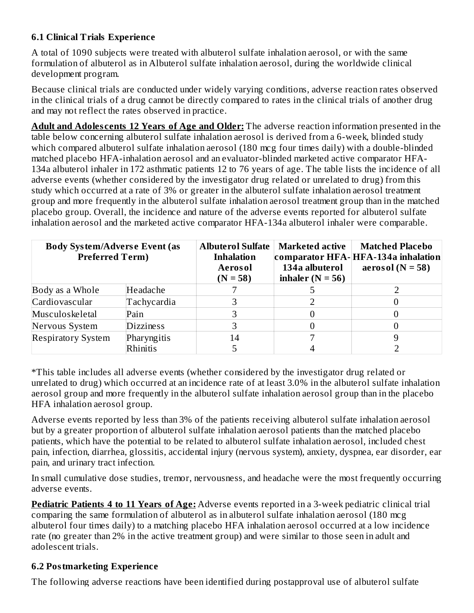## **6.1 Clinical Trials Experience**

A total of 1090 subjects were treated with albuterol sulfate inhalation aerosol, or with the same formulation of albuterol as in Albuterol sulfate inhalation aerosol, during the worldwide clinical development program.

Because clinical trials are conducted under widely varying conditions, adverse reaction rates observed in the clinical trials of a drug cannot be directly compared to rates in the clinical trials of another drug and may not reflect the rates observed in practice.

**Adult and Adoles cents 12 Years of Age and Older:** The adverse reaction information presented in the table below concerning albuterol sulfate inhalation aerosol is derived from a 6-week, blinded study which compared albuterol sulfate inhalation aerosol (180 mcg four times daily) with a double-blinded matched placebo HFA-inhalation aerosol and an evaluator-blinded marketed active comparator HFA-134a albuterol inhaler in 172 asthmatic patients 12 to 76 years of age. The table lists the incidence of all adverse events (whether considered by the investigator drug related or unrelated to drug) from this study which occurred at a rate of 3% or greater in the albuterol sulfate inhalation aerosol treatment group and more frequently in the albuterol sulfate inhalation aerosol treatment group than in the matched placebo group. Overall, the incidence and nature of the adverse events reported for albuterol sulfate inhalation aerosol and the marketed active comparator HFA-134a albuterol inhaler were comparable.

| <b>Body System/Adverse Event (as</b><br><b>Preferred Term)</b> |                  | <b>Albuterol Sulfate</b><br><b>Marketed active</b><br><b>Inhalation</b><br>134a albuterol<br>Aerosol<br>inhaler $(N = 56)$<br>$(N = 58)$ |  | <b>Matched Placebo</b><br>comparator HFA-HFA-134a inhalation<br>aerosol ( $N = 58$ ) |  |
|----------------------------------------------------------------|------------------|------------------------------------------------------------------------------------------------------------------------------------------|--|--------------------------------------------------------------------------------------|--|
| Body as a Whole                                                | Headache         |                                                                                                                                          |  |                                                                                      |  |
| Cardiovascular                                                 | Tachycardia      |                                                                                                                                          |  |                                                                                      |  |
| Musculoskeletal                                                | Pain             |                                                                                                                                          |  |                                                                                      |  |
| Nervous System                                                 | <b>Dizziness</b> |                                                                                                                                          |  |                                                                                      |  |
| <b>Respiratory System</b>                                      | Pharyngitis      | 14                                                                                                                                       |  |                                                                                      |  |
|                                                                | Rhinitis         |                                                                                                                                          |  |                                                                                      |  |

\*This table includes all adverse events (whether considered by the investigator drug related or unrelated to drug) which occurred at an incidence rate of at least 3.0% in the albuterol sulfate inhalation aerosol group and more frequently in the albuterol sulfate inhalation aerosol group than in the placebo HFA inhalation aerosol group.

Adverse events reported by less than 3% of the patients receiving albuterol sulfate inhalation aerosol but by a greater proportion of albuterol sulfate inhalation aerosol patients than the matched placebo patients, which have the potential to be related to albuterol sulfate inhalation aerosol, included chest pain, infection, diarrhea, glossitis, accidental injury (nervous system), anxiety, dyspnea, ear disorder, ear pain, and urinary tract infection.

In small cumulative dose studies, tremor, nervousness, and headache were the most frequently occurring adverse events.

**Pediatric Patients 4 to 11 Years of Age:** Adverse events reported in a 3-week pediatric clinical trial comparing the same formulation of albuterol as in albuterol sulfate inhalation aerosol (180 mcg albuterol four times daily) to a matching placebo HFA inhalation aerosol occurred at a low incidence rate (no greater than 2% in the active treatment group) and were similar to those seen in adult and adolescent trials.

### **6.2 Postmarketing Experience**

The following adverse reactions have been identified during postapproval use of albuterol sulfate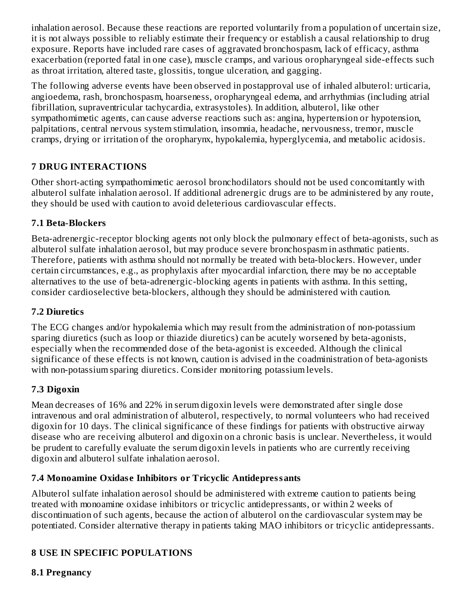inhalation aerosol. Because these reactions are reported voluntarily from a population of uncertain size, it is not always possible to reliably estimate their frequency or establish a causal relationship to drug exposure. Reports have included rare cases of aggravated bronchospasm, lack of efficacy, asthma exacerbation (reported fatal in one case), muscle cramps, and various oropharyngeal side-effects such as throat irritation, altered taste, glossitis, tongue ulceration, and gagging.

The following adverse events have been observed in postapproval use of inhaled albuterol: urticaria, angioedema, rash, bronchospasm, hoarseness, oropharyngeal edema, and arrhythmias (including atrial fibrillation, supraventricular tachycardia, extrasystoles). In addition, albuterol, like other sympathomimetic agents, can cause adverse reactions such as: angina, hypertension or hypotension, palpitations, central nervous system stimulation, insomnia, headache, nervousness, tremor, muscle cramps, drying or irritation of the oropharynx, hypokalemia, hyperglycemia, and metabolic acidosis.

# **7 DRUG INTERACTIONS**

Other short-acting sympathomimetic aerosol bronchodilators should not be used concomitantly with albuterol sulfate inhalation aerosol. If additional adrenergic drugs are to be administered by any route, they should be used with caution to avoid deleterious cardiovascular effects.

# **7.1 Beta-Blockers**

Beta-adrenergic-receptor blocking agents not only block the pulmonary effect of beta-agonists, such as albuterol sulfate inhalation aerosol, but may produce severe bronchospasm in asthmatic patients. Therefore, patients with asthma should not normally be treated with beta-blockers. However, under certain circumstances, e.g., as prophylaxis after myocardial infarction, there may be no acceptable alternatives to the use of beta-adrenergic-blocking agents in patients with asthma. In this setting, consider cardioselective beta-blockers, although they should be administered with caution.

# **7.2 Diuretics**

The ECG changes and/or hypokalemia which may result from the administration of non-potassium sparing diuretics (such as loop or thiazide diuretics) can be acutely worsened by beta-agonists, especially when the recommended dose of the beta-agonist is exceeded. Although the clinical significance of these effects is not known, caution is advised in the coadministration of beta-agonists with non-potassium sparing diuretics. Consider monitoring potassium levels.

# **7.3 Digoxin**

Mean decreases of 16% and 22% in serum digoxin levels were demonstrated after single dose intravenous and oral administration of albuterol, respectively, to normal volunteers who had received digoxin for 10 days. The clinical significance of these findings for patients with obstructive airway disease who are receiving albuterol and digoxin on a chronic basis is unclear. Nevertheless, it would be prudent to carefully evaluate the serum digoxin levels in patients who are currently receiving digoxin and albuterol sulfate inhalation aerosol.

# **7.4 Monoamine Oxidas e Inhibitors or Tricyclic Antidepressants**

Albuterol sulfate inhalation aerosol should be administered with extreme caution to patients being treated with monoamine oxidase inhibitors or tricyclic antidepressants, or within 2 weeks of discontinuation of such agents, because the action of albuterol on the cardiovascular system may be potentiated. Consider alternative therapy in patients taking MAO inhibitors or tricyclic antidepressants.

# **8 USE IN SPECIFIC POPULATIONS**

**8.1 Pregnancy**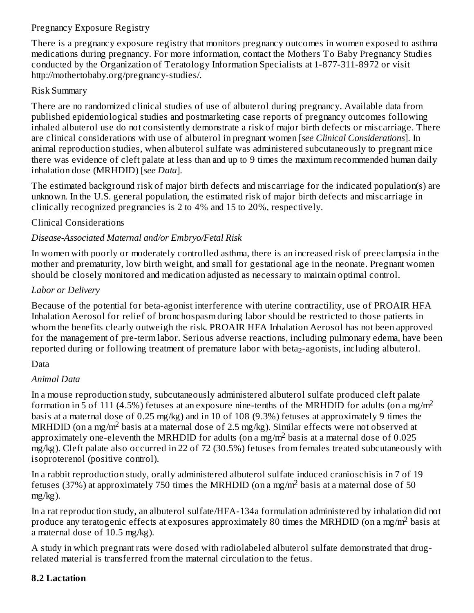## Pregnancy Exposure Registry

There is a pregnancy exposure registry that monitors pregnancy outcomes in women exposed to asthma medications during pregnancy. For more information, contact the Mothers To Baby Pregnancy Studies conducted by the Organization of Teratology Information Specialists at 1-877-311-8972 or visit http://mothertobaby.org/pregnancy-studies/.

#### Risk Summary

There are no randomized clinical studies of use of albuterol during pregnancy. Available data from published epidemiological studies and postmarketing case reports of pregnancy outcomes following inhaled albuterol use do not consistently demonstrate a risk of major birth defects or miscarriage. There are clinical considerations with use of albuterol in pregnant women [*see Clinical Considerations*]. In animal reproduction studies, when albuterol sulfate was administered subcutaneously to pregnant mice there was evidence of cleft palate at less than and up to 9 times the maximum recommended human daily inhalation dose (MRHDID) [*see Data*].

The estimated background risk of major birth defects and miscarriage for the indicated population(s) are unknown. In the U.S. general population, the estimated risk of major birth defects and miscarriage in clinically recognized pregnancies is 2 to 4% and 15 to 20%, respectively.

### Clinical Considerations

### *Disease-Associated Maternal and/or Embryo/Fetal Risk*

In women with poorly or moderately controlled asthma, there is an increased risk of preeclampsia in the mother and prematurity, low birth weight, and small for gestational age in the neonate. Pregnant women should be closely monitored and medication adjusted as necessary to maintain optimal control.

#### *Labor or Delivery*

Because of the potential for beta-agonist interference with uterine contractility, use of PROAIR HFA Inhalation Aerosol for relief of bronchospasm during labor should be restricted to those patients in whom the benefits clearly outweigh the risk. PROAIR HFA Inhalation Aerosol has not been approved for the management of pre-term labor. Serious adverse reactions, including pulmonary edema, have been reported during or following treatment of premature labor with beta<sub>2</sub>-agonists, including albuterol.

#### **Data**

### *Animal Data*

In a mouse reproduction study, subcutaneously administered albuterol sulfate produced cleft palate formation in 5 of 111 (4.5%) fetuses at an exposure nine-tenths of the MRHDID for adults (on a mg/m<sup>2</sup> basis at a maternal dose of 0.25 mg/kg) and in 10 of 108 (9.3%) fetuses at approximately 9 times the MRHDID (on a mg/m<sup>2</sup> basis at a maternal dose of 2.5 mg/kg). Similar effects were not observed at approximately one-eleventh the MRHDID for adults (on a mg/m<sup>2</sup> basis at a maternal dose of 0.025 mg/kg). Cleft palate also occurred in 22 of 72 (30.5%) fetuses from females treated subcutaneously with isoproterenol (positive control).

In a rabbit reproduction study, orally administered albuterol sulfate induced cranioschisis in 7 of 19 fetuses (37%) at approximately 750 times the MRHDID (on a mg/m<sup>2</sup> basis at a maternal dose of 50 mg/kg).

In a rat reproduction study, an albuterol sulfate/HFA-134a formulation administered by inhalation did not produce any teratogenic effects at exposures approximately 80 times the MRHDID (on a mg/m<sup>2</sup> basis at a maternal dose of 10.5 mg/kg).

A study in which pregnant rats were dosed with radiolabeled albuterol sulfate demonstrated that drugrelated material is transferred from the maternal circulation to the fetus.

#### **8.2 Lactation**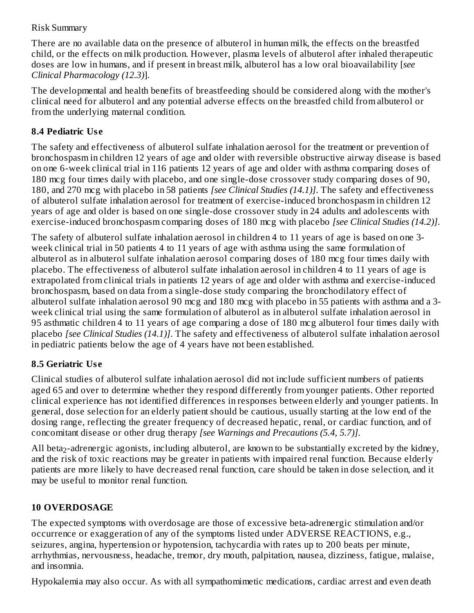### Risk Summary

There are no available data on the presence of albuterol in human milk, the effects on the breastfed child, or the effects on milk production. However, plasma levels of albuterol after inhaled therapeutic doses are low in humans, and if present in breast milk, albuterol has a low oral bioavailability [*see Clinical Pharmacology (12.3)*].

The developmental and health benefits of breastfeeding should be considered along with the mother's clinical need for albuterol and any potential adverse effects on the breastfed child from albuterol or from the underlying maternal condition.

# **8.4 Pediatric Us e**

The safety and effectiveness of albuterol sulfate inhalation aerosol for the treatment or prevention of bronchospasm in children 12 years of age and older with reversible obstructive airway disease is based on one 6-week clinical trial in 116 patients 12 years of age and older with asthma comparing doses of 180 mcg four times daily with placebo, and one single-dose crossover study comparing doses of 90, 180, and 270 mcg with placebo in 58 patients *[see Clinical Studies (14.1)]*. The safety and effectiveness of albuterol sulfate inhalation aerosol for treatment of exercise-induced bronchospasm in children 12 years of age and older is based on one single-dose crossover study in 24 adults and adolescents with exercise-induced bronchospasm comparing doses of 180 mcg with placebo *[see Clinical Studies (14.2)]*.

The safety of albuterol sulfate inhalation aerosol in children 4 to 11 years of age is based on one 3 week clinical trial in 50 patients 4 to 11 years of age with asthma using the same formulation of albuterol as in albuterol sulfate inhalation aerosol comparing doses of 180 mcg four times daily with placebo. The effectiveness of albuterol sulfate inhalation aerosol in children 4 to 11 years of age is extrapolated from clinical trials in patients 12 years of age and older with asthma and exercise-induced bronchospasm, based on data from a single-dose study comparing the bronchodilatory effect of albuterol sulfate inhalation aerosol 90 mcg and 180 mcg with placebo in 55 patients with asthma and a 3 week clinical trial using the same formulation of albuterol as in albuterol sulfate inhalation aerosol in 95 asthmatic children 4 to 11 years of age comparing a dose of 180 mcg albuterol four times daily with placebo *[see Clinical Studies (14.1)]*. The safety and effectiveness of albuterol sulfate inhalation aerosol in pediatric patients below the age of 4 years have not been established.

# **8.5 Geriatric Us e**

Clinical studies of albuterol sulfate inhalation aerosol did not include sufficient numbers of patients aged 65 and over to determine whether they respond differently from younger patients. Other reported clinical experience has not identified differences in responses between elderly and younger patients. In general, dose selection for an elderly patient should be cautious, usually starting at the low end of the dosing range, reflecting the greater frequency of decreased hepatic, renal, or cardiac function, and of concomitant disease or other drug therapy *[see Warnings and Precautions (5.4, 5.7)]*.

All beta $_2$ -adrenergic agonists, including albuterol, are known to be substantially excreted by the kidney, and the risk of toxic reactions may be greater in patients with impaired renal function. Because elderly patients are more likely to have decreased renal function, care should be taken in dose selection, and it may be useful to monitor renal function.

# **10 OVERDOSAGE**

The expected symptoms with overdosage are those of excessive beta-adrenergic stimulation and/or occurrence or exaggeration of any of the symptoms listed under ADVERSE REACTIONS, e.g., seizures, angina, hypertension or hypotension, tachycardia with rates up to 200 beats per minute, arrhythmias, nervousness, headache, tremor, dry mouth, palpitation, nausea, dizziness, fatigue, malaise, and insomnia.

Hypokalemia may also occur. As with all sympathomimetic medications, cardiac arrest and even death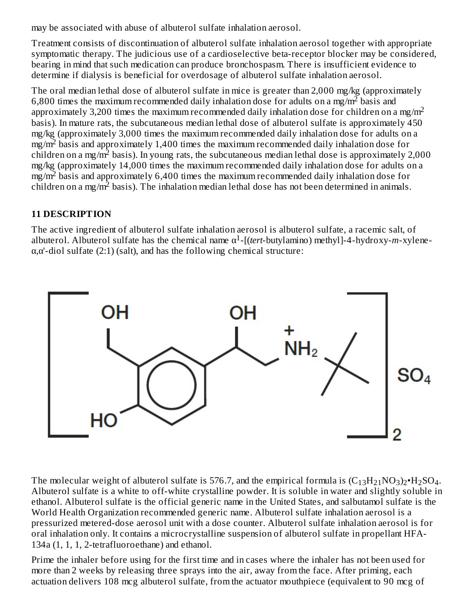may be associated with abuse of albuterol sulfate inhalation aerosol.

Treatment consists of discontinuation of albuterol sulfate inhalation aerosol together with appropriate symptomatic therapy. The judicious use of a cardioselective beta-receptor blocker may be considered, bearing in mind that such medication can produce bronchospasm. There is insufficient evidence to determine if dialysis is beneficial for overdosage of albuterol sulfate inhalation aerosol.

The oral median lethal dose of albuterol sulfate in mice is greater than 2,000 mg/kg (approximately 6,800 times the maximum recommended daily inhalation dose for adults on a mg/m<sup>2</sup> basis and approximately 3,200 times the maximum recommended daily inhalation dose for children on a mg/m<sup>2</sup> basis). In mature rats, the subcutaneous median lethal dose of albuterol sulfate is approximately 450 mg/kg (approximately 3,000 times the maximum recommended daily inhalation dose for adults on a  $mg/m<sup>2</sup>$  basis and approximately 1,400 times the maximum recommended daily inhalation dose for children on a mg/m<sup>2</sup> basis). In young rats, the subcutaneous median lethal dose is approximately 2,000 mg/kg (approximately 14,000 times the maximum recommended daily inhalation dose for adults on a  $mg/m<sup>2</sup>$  basis and approximately 6,400 times the maximum recommended daily inhalation dose for children on a mg/m<sup>2</sup> basis). The inhalation median lethal dose has not been determined in animals.

### **11 DESCRIPTION**

The active ingredient of albuterol sulfate inhalation aerosol is albuterol sulfate, a racemic salt, of albuterol. Albuterol sulfate has the chemical name  $\alpha^1$ -[(*tert*-butylamino) methyl]-4-hydroxy-*m*-xylene- $\alpha$ , $\alpha$ '-diol sulfate (2:1) (salt), and has the following chemical structure:



The molecular weight of albuterol sulfate is 576.7, and the empirical formula is  $(C_{13}H_{21}NO_3)_2\cdot H_2SO_4$ . Albuterol sulfate is a white to off-white crystalline powder. It is soluble in water and slightly soluble in ethanol. Albuterol sulfate is the official generic name in the United States, and salbutamol sulfate is the World Health Organization recommended generic name. Albuterol sulfate inhalation aerosol is a pressurized metered-dose aerosol unit with a dose counter. Albuterol sulfate inhalation aerosol is for oral inhalation only. It contains a microcrystalline suspension of albuterol sulfate in propellant HFA-134a (1, 1, 1, 2-tetrafluoroethane) and ethanol.

Prime the inhaler before using for the first time and in cases where the inhaler has not been used for more than 2 weeks by releasing three sprays into the air, away from the face. After priming, each actuation delivers 108 mcg albuterol sulfate, from the actuator mouthpiece (equivalent to 90 mcg of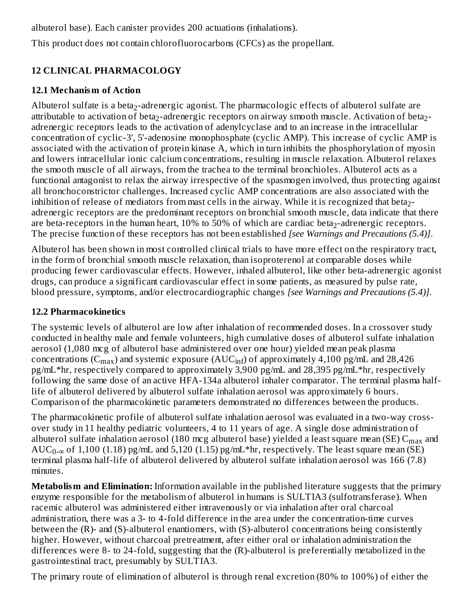albuterol base). Each canister provides 200 actuations (inhalations).

This product does not contain chlorofluorocarbons (CFCs) as the propellant.

# **12 CLINICAL PHARMACOLOGY**

# **12.1 Mechanism of Action**

Albuterol sulfate is a beta $_2$ -adrenergic agonist. The pharmacologic effects of albuterol sulfate are attributable to activation of beta $_2$ -adrenergic receptors on airway smooth muscle. Activation of beta $_2$ adrenergic receptors leads to the activation of adenylcyclase and to an increase in the intracellular concentration of cyclic-3', 5'-adenosine monophosphate (cyclic AMP). This increase of cyclic AMP is associated with the activation of protein kinase A, which in turn inhibits the phosphorylation of myosin and lowers intracellular ionic calcium concentrations, resulting in muscle relaxation. Albuterol relaxes the smooth muscle of all airways, from the trachea to the terminal bronchioles. Albuterol acts as a functional antagonist to relax the airway irrespective of the spasmogen involved, thus protecting against all bronchoconstrictor challenges. Increased cyclic AMP concentrations are also associated with the inhibition of release of mediators from mast cells in the airway. While it is recognized that beta $_2$ adrenergic receptors are the predominant receptors on bronchial smooth muscle, data indicate that there are beta-receptors in the human heart,  $10\%$  to  $50\%$  of which are cardiac beta $_2$ -adrenergic receptors. The precise function of these receptors has not been established *[see Warnings and Precautions (5.4)]*.

Albuterol has been shown in most controlled clinical trials to have more effect on the respiratory tract, in the form of bronchial smooth muscle relaxation, than isoproterenol at comparable doses while producing fewer cardiovascular effects. However, inhaled albuterol, like other beta-adrenergic agonist drugs, can produce a significant cardiovascular effect in some patients, as measured by pulse rate, blood pressure, symptoms, and/or electrocardiographic changes *[see Warnings and Precautions (5.4)]*.

# **12.2 Pharmacokinetics**

The systemic levels of albuterol are low after inhalation of recommended doses. In a crossover study conducted in healthy male and female volunteers, high cumulative doses of albuterol sulfate inhalation aerosol (1,080 mcg of albuterol base administered over one hour) yielded mean peak plasma concentrations (C $_{\rm max}$ ) and systemic exposure (AUC $_{\rm inf}$ ) of approximately 4,100 pg/mL and 28,426 pg/mL\*hr, respectively compared to approximately 3,900 pg/mL and 28,395 pg/mL\*hr, respectively following the same dose of an active HFA-134a albuterol inhaler comparator. The terminal plasma halflife of albuterol delivered by albuterol sulfate inhalation aerosol was approximately 6 hours. Comparison of the pharmacokinetic parameters demonstrated no differences between the products.

The pharmacokinetic profile of albuterol sulfate inhalation aerosol was evaluated in a two-way crossover study in 11 healthy pediatric volunteers, 4 to 11 years of age. A single dose administration of albuterol sulfate inhalation aerosol (180 mcg albuterol base) yielded a least square mean (SE)  $\rm C_{max}$  and  $\mathrm{AUC}_{0-\infty}$  of 1,100 (1.18) pg/mL and 5,120 (1.15) pg/mL\*hr, respectively. The least square mean (SE) terminal plasma half-life of albuterol delivered by albuterol sulfate inhalation aerosol was 166 (7.8) minutes.

**Metabolism and Elimination:** Information available in the published literature suggests that the primary enzyme responsible for the metabolism of albuterol in humans is SULTIA3 (sulfotransferase). When racemic albuterol was administered either intravenously or via inhalation after oral charcoal administration, there was a 3- to 4-fold difference in the area under the concentration-time curves between the (R)- and (S)-albuterol enantiomers, with (S)-albuterol concentrations being consistently higher. However, without charcoal pretreatment, after either oral or inhalation administration the differences were 8- to 24-fold, suggesting that the (R)-albuterol is preferentially metabolized in the gastrointestinal tract, presumably by SULTIA3.

The primary route of elimination of albuterol is through renal excretion (80% to 100%) of either the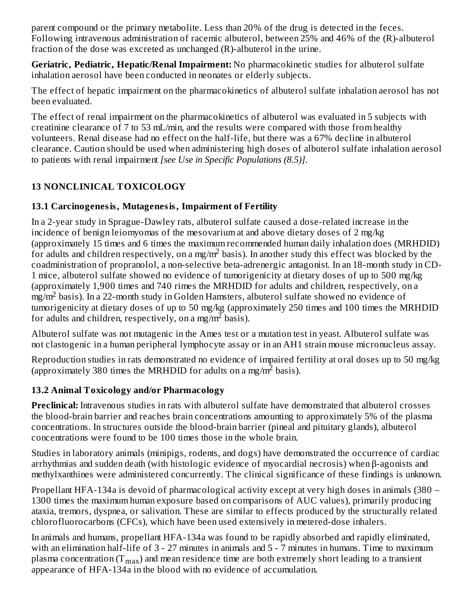parent compound or the primary metabolite. Less than 20% of the drug is detected in the feces. Following intravenous administration of racemic albuterol, between 25% and 46% of the (R)-albuterol fraction of the dose was excreted as unchanged (R)-albuterol in the urine.

**Geriatric, Pediatric, Hepatic/Renal Impairment:** No pharmacokinetic studies for albuterol sulfate inhalation aerosol have been conducted in neonates or elderly subjects.

The effect of hepatic impairment on the pharmacokinetics of albuterol sulfate inhalation aerosol has not been evaluated.

The effect of renal impairment on the pharmacokinetics of albuterol was evaluated in 5 subjects with creatinine clearance of 7 to 53 mL/min, and the results were compared with those from healthy volunteers. Renal disease had no effect on the half-life, but there was a 67% decline in albuterol clearance. Caution should be used when administering high doses of albuterol sulfate inhalation aerosol to patients with renal impairment *[see Use in Specific Populations (8.5)]*.

# **13 NONCLINICAL TOXICOLOGY**

# **13.1 Carcinogenesis, Mutagenesis, Impairment of Fertility**

In a 2-year study in Sprague-Dawley rats, albuterol sulfate caused a dose-related increase in the incidence of benign leiomyomas of the mesovarium at and above dietary doses of 2 mg/kg (approximately 15 times and 6 times the maximum recommended human daily inhalation does (MRHDID) for adults and children respectively, on a mg/m<sup>2</sup> basis). In another study this effect was blocked by the coadministration of propranolol, a non-selective beta-adrenergic antagonist. In an 18-month study in CD-1 mice, albuterol sulfate showed no evidence of tumorigenicity at dietary doses of up to 500 mg/kg (approximately 1,900 times and 740 rimes the MRHDID for adults and children, respectively, on a  $\frac{mZ}{m^2}$  basis). In a 22-month study in Golden Hamsters, albuterol sulfate showed no evidence of tumorigenicity at dietary doses of up to 50 mg/kg (approximately 250 times and 100 times the MRHDID for adults and children, respectively, on a mg/m<sup>2</sup> basis).

Albuterol sulfate was not mutagenic in the Ames test or a mutation test in yeast. Albuterol sulfate was not clastogenic in a human peripheral lymphocyte assay or in an AH1 strain mouse micronucleus assay.

Reproduction studies in rats demonstrated no evidence of impaired fertility at oral doses up to 50 mg/kg (approximately 380 times the MRHDID for adults on a mg/m<sup>2</sup> basis).

# **13.2 Animal Toxicology and/or Pharmacology**

**Preclinical:** Intravenous studies in rats with albuterol sulfate have demonstrated that albuterol crosses the blood-brain barrier and reaches brain concentrations amounting to approximately 5% of the plasma concentrations. In structures outside the blood-brain barrier (pineal and pituitary glands), albuterol concentrations were found to be 100 times those in the whole brain.

Studies in laboratory animals (minipigs, rodents, and dogs) have demonstrated the occurrence of cardiac arrhythmias and sudden death (with histologic evidence of myocardial necrosis) when β-agonists and methylxanthines were administered concurrently. The clinical significance of these findings is unknown.

Propellant HFA-134a is devoid of pharmacological activity except at very high doses in animals (380 – 1300 times the maximum human exposure based on comparisons of AUC values), primarily producing ataxia, tremors, dyspnea, or salivation. These are similar to effects produced by the structurally related chlorofluorocarbons (CFCs), which have been used extensively in metered-dose inhalers.

In animals and humans, propellant HFA-134a was found to be rapidly absorbed and rapidly eliminated, with an elimination half-life of 3 - 27 minutes in animals and 5 - 7 minutes in humans. Time to maximum plasma concentration (T $_{\rm max}$ ) and mean residence time are both extremely short leading to a transient appearance of HFA-134a in the blood with no evidence of accumulation.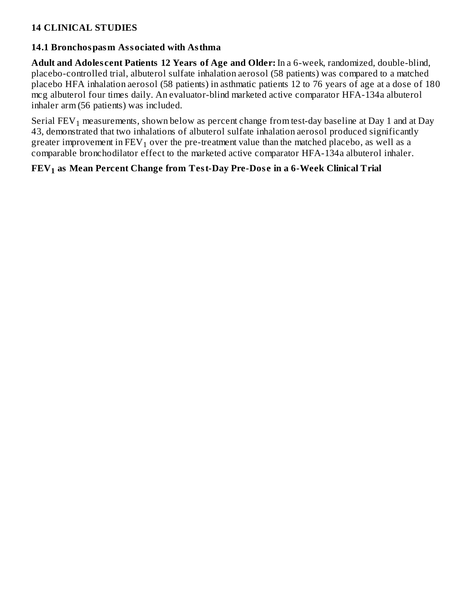# **14 CLINICAL STUDIES**

#### **14.1 Bronchospasm Associated with Asthma**

**Adult and Adoles cent Patients 12 Years of Age and Older:** In a 6-week, randomized, double-blind, placebo-controlled trial, albuterol sulfate inhalation aerosol (58 patients) was compared to a matched placebo HFA inhalation aerosol (58 patients) in asthmatic patients 12 to 76 years of age at a dose of 180 mcg albuterol four times daily. An evaluator-blind marketed active comparator HFA-134a albuterol inhaler arm (56 patients) was included.

Serial FEV $_1$  measurements, shown below as percent change from test-day baseline at Day 1 and at Day 43, demonstrated that two inhalations of albuterol sulfate inhalation aerosol produced significantly greater improvement in  $\text{FEV}_1$  over the pre-treatment value than the matched placebo, as well as a comparable bronchodilator effect to the marketed active comparator HFA-134a albuterol inhaler.

# **FEV as Mean Percent Change from Test-Day Pre-Dos e in a 6-Week Clinical Trial 1**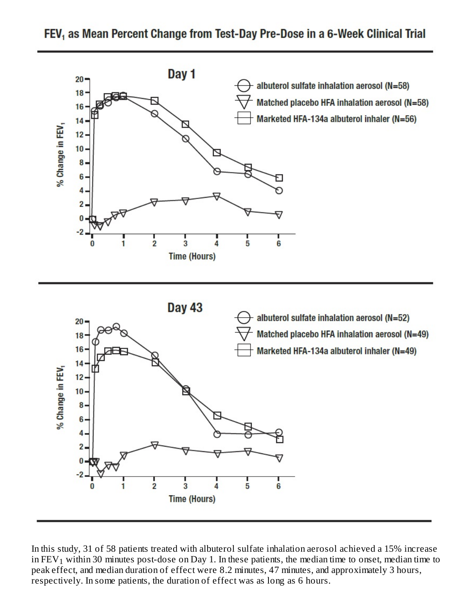

FEV, as Mean Percent Change from Test-Day Pre-Dose in a 6-Week Clinical Trial

In this study, 31 of 58 patients treated with albuterol sulfate inhalation aerosol achieved a 15% increase in FEV $_1$  within 30 minutes post-dose on Day 1. In these patients, the median time to onset, median time to peak effect, and median duration of effect were 8.2 minutes, 47 minutes, and approximately 3 hours, respectively. In some patients, the duration of effect was as long as 6 hours.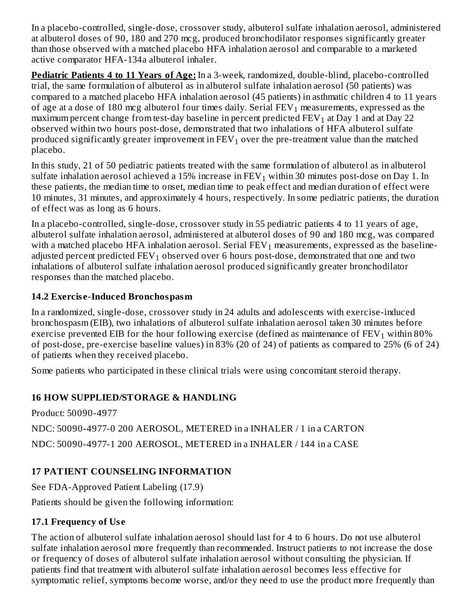In a placebo-controlled, single-dose, crossover study, albuterol sulfate inhalation aerosol, administered at albuterol doses of 90, 180 and 270 mcg, produced bronchodilator responses significantly greater than those observed with a matched placebo HFA inhalation aerosol and comparable to a marketed active comparator HFA-134a albuterol inhaler.

**Pediatric Patients 4 to 11 Years of Age:** In a 3-week, randomized, double-blind, placebo-controlled trial, the same formulation of albuterol as in albuterol sulfate inhalation aerosol (50 patients) was compared to a matched placebo HFA inhalation aerosol (45 patients) in asthmatic children 4 to 11 years of age at a dose of 180 mcg albuterol four times daily. Serial  $\mathop{\rm FEV}\nolimits_1$  measurements, expressed as the maximum percent change from test-day baseline in percent predicted  $\text{FEV}_1$  at Day  $1$  and at Day  $22$ observed within two hours post-dose, demonstrated that two inhalations of HFA albuterol sulfate produced significantly greater improvement in  $\mathtt{FEV}_1$  over the pre-treatment value than the matched placebo.

In this study, 21 of 50 pediatric patients treated with the same formulation of albuterol as in albuterol sulfate inhalation aerosol achieved a 15% increase in FEV $_{\rm 1}$  within 30 minutes post-dose on Day 1. In these patients, the median time to onset, median time to peak effect and median duration of effect were 10 minutes, 31 minutes, and approximately 4 hours, respectively. In some pediatric patients, the duration of effect was as long as 6 hours.

In a placebo-controlled, single-dose, crossover study in 55 pediatric patients 4 to 11 years of age, albuterol sulfate inhalation aerosol, administered at albuterol doses of 90 and 180 mcg, was compared with a matched placebo HFA inhalation aerosol. Serial  ${\rm FEV}_1$  measurements, expressed as the baselineadjusted percent predicted  $\text{FEV}_1$  observed over 6 hours post-dose, demonstrated that one and two inhalations of albuterol sulfate inhalation aerosol produced significantly greater bronchodilator responses than the matched placebo.

# **14.2 Exercis e-Induced Bronchospasm**

In a randomized, single-dose, crossover study in 24 adults and adolescents with exercise-induced bronchospasm (EIB), two inhalations of albuterol sulfate inhalation aerosol taken 30 minutes before exercise prevented EIB for the hour following exercise (defined as maintenance of  $\text{FEV}_1$  within 80% of post-dose, pre-exercise baseline values) in 83% (20 of 24) of patients as compared to 25% (6 of 24) of patients when they received placebo.

Some patients who participated in these clinical trials were using concomitant steroid therapy.

# **16 HOW SUPPLIED/STORAGE & HANDLING**

Product: 50090-4977

NDC: 50090-4977-0 200 AEROSOL, METERED in a INHALER / 1 in a CARTON NDC: 50090-4977-1 200 AEROSOL, METERED in a INHALER / 144 in a CASE

# **17 PATIENT COUNSELING INFORMATION**

See FDA-Approved Patient Labeling (17.9)

Patients should be given the following information:

# **17.1 Frequency of Us e**

The action of albuterol sulfate inhalation aerosol should last for 4 to 6 hours. Do not use albuterol sulfate inhalation aerosol more frequently than recommended. Instruct patients to not increase the dose or frequency of doses of albuterol sulfate inhalation aerosol without consulting the physician. If patients find that treatment with albuterol sulfate inhalation aerosol becomes less effective for symptomatic relief, symptoms become worse, and/or they need to use the product more frequently than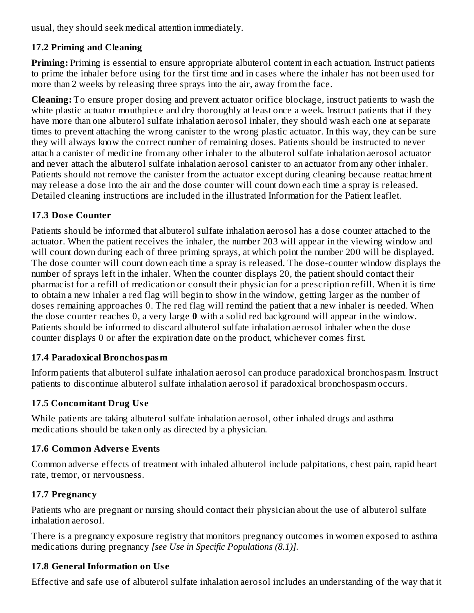usual, they should seek medical attention immediately.

# **17.2 Priming and Cleaning**

**Priming:** Priming is essential to ensure appropriate albuterol content in each actuation. Instruct patients to prime the inhaler before using for the first time and in cases where the inhaler has not been used for more than 2 weeks by releasing three sprays into the air, away from the face.

**Cleaning:** To ensure proper dosing and prevent actuator orifice blockage, instruct patients to wash the white plastic actuator mouthpiece and dry thoroughly at least once a week. Instruct patients that if they have more than one albuterol sulfate inhalation aerosol inhaler, they should wash each one at separate times to prevent attaching the wrong canister to the wrong plastic actuator. In this way, they can be sure they will always know the correct number of remaining doses. Patients should be instructed to never attach a canister of medicine from any other inhaler to the albuterol sulfate inhalation aerosol actuator and never attach the albuterol sulfate inhalation aerosol canister to an actuator from any other inhaler. Patients should not remove the canister from the actuator except during cleaning because reattachment may release a dose into the air and the dose counter will count down each time a spray is released. Detailed cleaning instructions are included in the illustrated Information for the Patient leaflet.

# **17.3 Dos e Counter**

Patients should be informed that albuterol sulfate inhalation aerosol has a dose counter attached to the actuator. When the patient receives the inhaler, the number 203 will appear in the viewing window and will count down during each of three priming sprays, at which point the number 200 will be displayed. The dose counter will count down each time a spray is released. The dose-counter window displays the number of sprays left in the inhaler. When the counter displays 20, the patient should contact their pharmacist for a refill of medication or consult their physician for a prescription refill. When it is time to obtain a new inhaler a red flag will begin to show in the window, getting larger as the number of doses remaining approaches 0. The red flag will remind the patient that a new inhaler is needed. When the dose counter reaches 0, a very large **0** with a solid red background will appear in the window. Patients should be informed to discard albuterol sulfate inhalation aerosol inhaler when the dose counter displays 0 or after the expiration date on the product, whichever comes first.

# **17.4 Paradoxical Bronchospasm**

Inform patients that albuterol sulfate inhalation aerosol can produce paradoxical bronchospasm. Instruct patients to discontinue albuterol sulfate inhalation aerosol if paradoxical bronchospasm occurs.

# **17.5 Concomitant Drug Us e**

While patients are taking albuterol sulfate inhalation aerosol, other inhaled drugs and asthma medications should be taken only as directed by a physician.

# **17.6 Common Advers e Events**

Common adverse effects of treatment with inhaled albuterol include palpitations, chest pain, rapid heart rate, tremor, or nervousness.

# **17.7 Pregnancy**

Patients who are pregnant or nursing should contact their physician about the use of albuterol sulfate inhalation aerosol.

There is a pregnancy exposure registry that monitors pregnancy outcomes in women exposed to asthma medications during pregnancy *[see Use in Specific Populations (8.1)].*

# **17.8 General Information on Us e**

Effective and safe use of albuterol sulfate inhalation aerosol includes an understanding of the way that it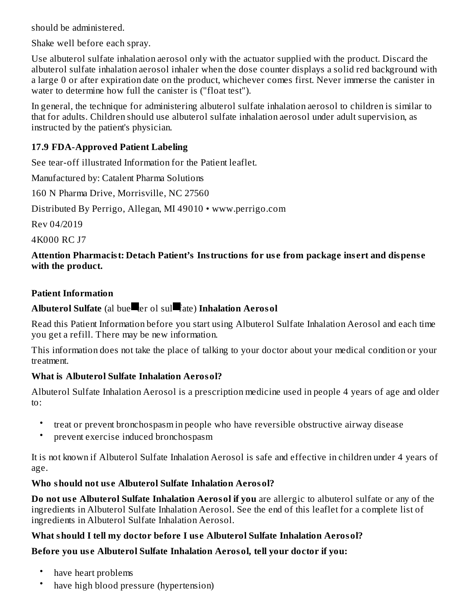should be administered.

Shake well before each spray.

Use albuterol sulfate inhalation aerosol only with the actuator supplied with the product. Discard the albuterol sulfate inhalation aerosol inhaler when the dose counter displays a solid red background with a large 0 or after expiration date on the product, whichever comes first. Never immerse the canister in water to determine how full the canister is ("float test").

In general, the technique for administering albuterol sulfate inhalation aerosol to children is similar to that for adults. Children should use albuterol sulfate inhalation aerosol under adult supervision, as instructed by the patient's physician.

# **17.9 FDA-Approved Patient Labeling**

See tear-off illustrated Information for the Patient leaflet.

Manufactured by: Catalent Pharma Solutions

160 N Pharma Drive, Morrisville, NC 27560

Distributed By Perrigo, Allegan, MI 49010 • www.perrigo.com

Rev 04/2019

4K000 RC J7

### **Attention Pharmacist: Detach Patient's Instructions for us e from package ins ert and dispens e with the product.**

## **Patient Information**

# **Albuterol Sulfate** (al bue ter ol sul fate) **Inhalation Aerosol**

Read this Patient Information before you start using Albuterol Sulfate Inhalation Aerosol and each time you get a refill. There may be new information.

This information does not take the place of talking to your doctor about your medical condition or your treatment.

# **What is Albuterol Sulfate Inhalation Aerosol?**

Albuterol Sulfate Inhalation Aerosol is a prescription medicine used in people 4 years of age and older to:

- treat or prevent bronchospasm in people who have reversible obstructive airway disease
- prevent exercise induced bronchospasm

It is not known if Albuterol Sulfate Inhalation Aerosol is safe and effective in children under 4 years of age.

# **Who should not us e Albuterol Sulfate Inhalation Aerosol?**

**Do not us e Albuterol Sulfate Inhalation Aerosol if you** are allergic to albuterol sulfate or any of the ingredients in Albuterol Sulfate Inhalation Aerosol. See the end of this leaflet for a complete list of ingredients in Albuterol Sulfate Inhalation Aerosol.

### **What should I tell my doctor before I us e Albuterol Sulfate Inhalation Aerosol?**

# **Before you us e Albuterol Sulfate Inhalation Aerosol, tell your doctor if you:**

- have heart problems
- have high blood pressure (hypertension)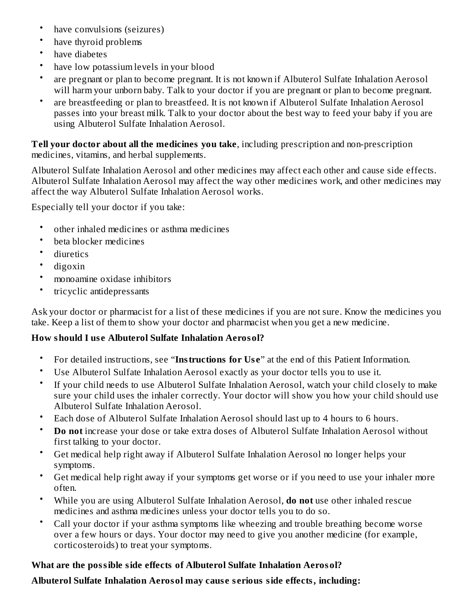- have convulsions (seizures)
- have thyroid problems
- have diabetes
- have low potassium levels in your blood
- are pregnant or plan to become pregnant. It is not known if Albuterol Sulfate Inhalation Aerosol will harm your unborn baby. Talk to your doctor if you are pregnant or plan to become pregnant.
- are breastfeeding or plan to breastfeed. It is not known if Albuterol Sulfate Inhalation Aerosol passes into your breast milk. Talk to your doctor about the best way to feed your baby if you are using Albuterol Sulfate Inhalation Aerosol.

**Tell your doctor about all the medicines you take**, including prescription and non-prescription medicines, vitamins, and herbal supplements.

Albuterol Sulfate Inhalation Aerosol and other medicines may affect each other and cause side effects. Albuterol Sulfate Inhalation Aerosol may affect the way other medicines work, and other medicines may affect the way Albuterol Sulfate Inhalation Aerosol works.

Especially tell your doctor if you take:

- other inhaled medicines or asthma medicines
- beta blocker medicines
- diuretics
- digoxin
- monoamine oxidase inhibitors
- tricyclic antidepressants

Ask your doctor or pharmacist for a list of these medicines if you are not sure. Know the medicines you take. Keep a list of them to show your doctor and pharmacist when you get a new medicine.

### **How should I us e Albuterol Sulfate Inhalation Aerosol?**

- For detailed instructions, see "**Instructions for Us e**" at the end of this Patient Information.
- Use Albuterol Sulfate Inhalation Aerosol exactly as your doctor tells you to use it.
- If your child needs to use Albuterol Sulfate Inhalation Aerosol, watch your child closely to make sure your child uses the inhaler correctly. Your doctor will show you how your child should use Albuterol Sulfate Inhalation Aerosol.
- Each dose of Albuterol Sulfate Inhalation Aerosol should last up to 4 hours to 6 hours.
- **Do not** increase your dose or take extra doses of Albuterol Sulfate Inhalation Aerosol without first talking to your doctor.
- Get medical help right away if Albuterol Sulfate Inhalation Aerosol no longer helps your symptoms.
- Get medical help right away if your symptoms get worse or if you need to use your inhaler more often.
- While you are using Albuterol Sulfate Inhalation Aerosol, **do not** use other inhaled rescue medicines and asthma medicines unless your doctor tells you to do so.
- Call your doctor if your asthma symptoms like wheezing and trouble breathing become worse over a few hours or days. Your doctor may need to give you another medicine (for example, corticosteroids) to treat your symptoms.

# **What are the possible side effects of Albuterol Sulfate Inhalation Aerosol?**

**Albuterol Sulfate Inhalation Aerosol may caus e s erious side effects, including:**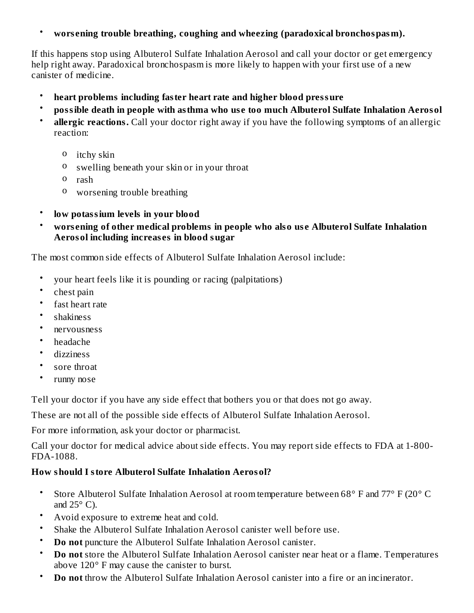#### • **wors ening trouble breathing, coughing and wheezing (paradoxical bronchospasm).**

If this happens stop using Albuterol Sulfate Inhalation Aerosol and call your doctor or get emergency help right away. Paradoxical bronchospasm is more likely to happen with your first use of a new canister of medicine.

- **heart problems including faster heart rate and higher blood pressure**
- **possible death in people with asthma who us e too much Albuterol Sulfate Inhalation Aerosol**
- **allergic reactions.** Call your doctor right away if you have the following symptoms of an allergic reaction:
	- o itchy skin
	- o swelling beneath your skin or in your throat
	- o rash
	- o worsening trouble breathing
- **low potassium levels in your blood**
- **wors ening of other medical problems in people who also us e Albuterol Sulfate Inhalation Aerosol including increas es in blood sugar**

The most common side effects of Albuterol Sulfate Inhalation Aerosol include:

- your heart feels like it is pounding or racing (palpitations)
- chest pain
- fast heart rate
- shakiness
- nervousness
- headache
- dizziness
- sore throat
- runny nose

Tell your doctor if you have any side effect that bothers you or that does not go away.

These are not all of the possible side effects of Albuterol Sulfate Inhalation Aerosol.

For more information, ask your doctor or pharmacist.

Call your doctor for medical advice about side effects. You may report side effects to FDA at 1-800- FDA-1088.

### **How should I store Albuterol Sulfate Inhalation Aerosol?**

- Store Albuterol Sulfate Inhalation Aerosol at room temperature between 68° F and 77° F (20° C and  $25^{\circ}$  C).
- Avoid exposure to extreme heat and cold.
- Shake the Albuterol Sulfate Inhalation Aerosol canister well before use.
- **Do not** puncture the Albuterol Sulfate Inhalation Aerosol canister.
- **Do not** store the Albuterol Sulfate Inhalation Aerosol canister near heat or a flame. Temperatures above 120° F may cause the canister to burst.
- **Do not** throw the Albuterol Sulfate Inhalation Aerosol canister into a fire or an incinerator.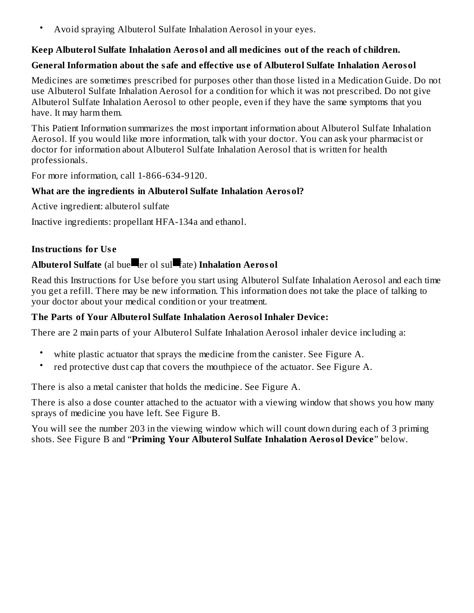• Avoid spraying Albuterol Sulfate Inhalation Aerosol in your eyes.

### **Keep Albuterol Sulfate Inhalation Aerosol and all medicines out of the reach of children.**

#### **General Information about the safe and effective us e of Albuterol Sulfate Inhalation Aerosol**

Medicines are sometimes prescribed for purposes other than those listed in a Medication Guide. Do not use Albuterol Sulfate Inhalation Aerosol for a condition for which it was not prescribed. Do not give Albuterol Sulfate Inhalation Aerosol to other people, even if they have the same symptoms that you have. It may harm them.

This Patient Information summarizes the most important information about Albuterol Sulfate Inhalation Aerosol. If you would like more information, talk with your doctor. You can ask your pharmacist or doctor for information about Albuterol Sulfate Inhalation Aerosol that is written for health professionals.

For more information, call 1-866-634-9120.

#### **What are the ingredients in Albuterol Sulfate Inhalation Aerosol?**

Active ingredient: albuterol sulfate

Inactive ingredients: propellant HFA-134a and ethanol.

#### **Instructions for Us e**

# **Albuterol Sulfate** (al bue ter ol sul fate) **Inhalation Aerosol**

Read this Instructions for Use before you start using Albuterol Sulfate Inhalation Aerosol and each time you get a refill. There may be new information. This information does not take the place of talking to your doctor about your medical condition or your treatment.

### **The Parts of Your Albuterol Sulfate Inhalation Aerosol Inhaler Device:**

There are 2 main parts of your Albuterol Sulfate Inhalation Aerosol inhaler device including a:

- white plastic actuator that sprays the medicine from the canister. See Figure A.
- red protective dust cap that covers the mouthpiece of the actuator. See Figure A.

There is also a metal canister that holds the medicine. See Figure A.

There is also a dose counter attached to the actuator with a viewing window that shows you how many sprays of medicine you have left. See Figure B.

You will see the number 203 in the viewing window which will count down during each of 3 priming shots. See Figure B and "**Priming Your Albuterol Sulfate Inhalation Aerosol Device**" below.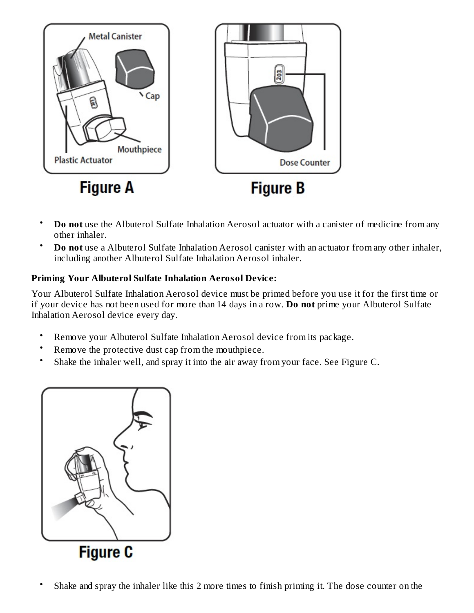

- **Do not** use the Albuterol Sulfate Inhalation Aerosol actuator with a canister of medicine from any other inhaler.
- **Do not** use a Albuterol Sulfate Inhalation Aerosol canister with an actuator from any other inhaler, including another Albuterol Sulfate Inhalation Aerosol inhaler.

## **Priming Your Albuterol Sulfate Inhalation Aerosol Device:**

Your Albuterol Sulfate Inhalation Aerosol device must be primed before you use it for the first time or if your device has not been used for more than 14 days in a row. **Do not** prime your Albuterol Sulfate Inhalation Aerosol device every day.

- Remove your Albuterol Sulfate Inhalation Aerosol device from its package.
- Remove the protective dust cap from the mouthpiece.
- Shake the inhaler well, and spray it into the air away from your face. See Figure C.



• Shake and spray the inhaler like this 2 more times to finish priming it. The dose counter on the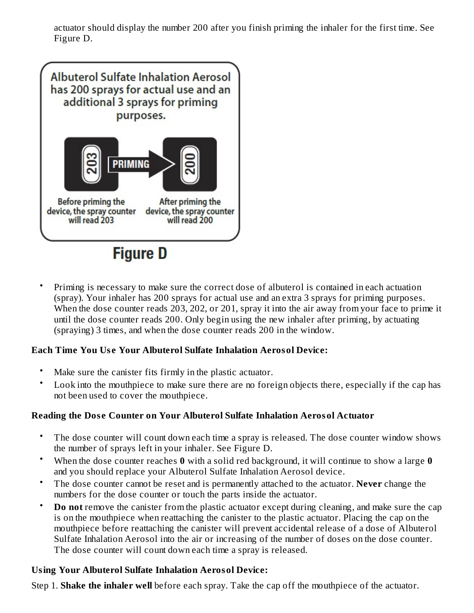actuator should display the number 200 after you finish priming the inhaler for the first time. See Figure D.



• Priming is necessary to make sure the correct dose of albuterol is contained in each actuation (spray). Your inhaler has 200 sprays for actual use and an extra 3 sprays for priming purposes. When the dose counter reads 203, 202, or 201, spray it into the air away from your face to prime it until the dose counter reads 200. Only begin using the new inhaler after priming, by actuating (spraying) 3 times, and when the dose counter reads 200 in the window.

### **Each Time You Us e Your Albuterol Sulfate Inhalation Aerosol Device:**

- Make sure the canister fits firmly in the plastic actuator.
- Look into the mouthpiece to make sure there are no foreign objects there, especially if the cap has not been used to cover the mouthpiece.

# **Reading the Dos e Counter on Your Albuterol Sulfate Inhalation Aerosol Actuator**

- The dose counter will count down each time a spray is released. The dose counter window shows the number of sprays left in your inhaler. See Figure D.
- When the dose counter reaches **0** with a solid red background, it will continue to show a large **0** and you should replace your Albuterol Sulfate Inhalation Aerosol device.
- The dose counter cannot be reset and is permanently attached to the actuator. **Never** change the numbers for the dose counter or touch the parts inside the actuator.
- **Do not** remove the canister from the plastic actuator except during cleaning, and make sure the cap is on the mouthpiece when reattaching the canister to the plastic actuator. Placing the cap on the mouthpiece before reattaching the canister will prevent accidental release of a dose of Albuterol Sulfate Inhalation Aerosol into the air or increasing of the number of doses on the dose counter. The dose counter will count down each time a spray is released.

# **Using Your Albuterol Sulfate Inhalation Aerosol Device:**

Step 1. **Shake the inhaler well** before each spray. Take the cap off the mouthpiece of the actuator.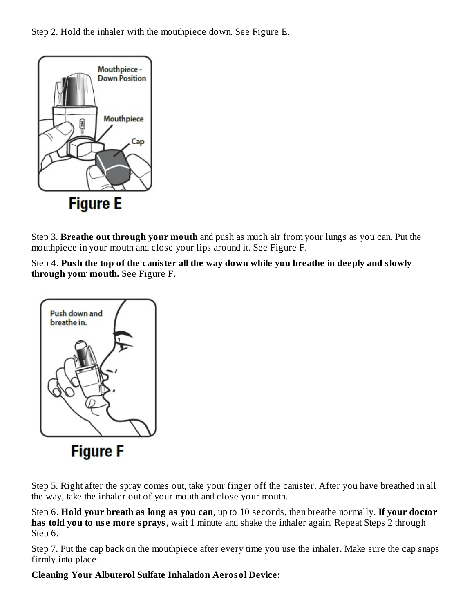Step 2. Hold the inhaler with the mouthpiece down. See Figure E.



Step 3. **Breathe out through your mouth** and push as much air from your lungs as you can. Put the mouthpiece in your mouth and close your lips around it. See Figure F.

Step 4. **Push the top of the canister all the way down while you breathe in deeply and slowly through your mouth.** See Figure F.



Step 5. Right after the spray comes out, take your finger off the canister. After you have breathed in all the way, take the inhaler out of your mouth and close your mouth.

Step 6. **Hold your breath as long as you can**, up to 10 seconds, then breathe normally. **If your doctor has told you to use more sprays**, wait 1 minute and shake the inhaler again. Repeat Steps 2 through Step 6.

Step 7. Put the cap back on the mouthpiece after every time you use the inhaler. Make sure the cap snaps firmly into place.

### **Cleaning Your Albuterol Sulfate Inhalation Aerosol Device:**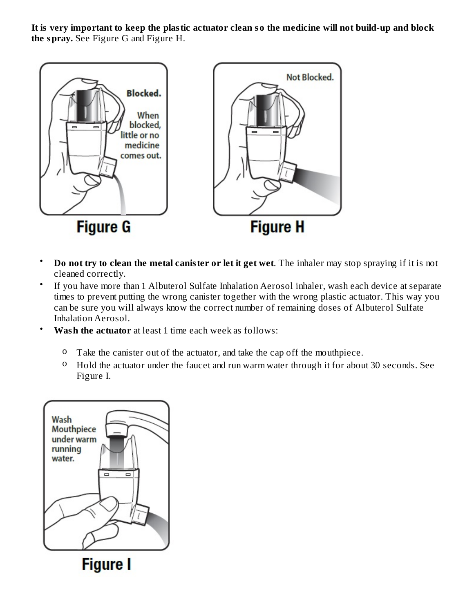It is very important to keep the plastic actuator clean so the medicine will not build-up and block **the spray.** See Figure G and Figure H.



- **Do not try to clean the metal canister or let it get wet**. The inhaler may stop spraying if it is not cleaned correctly.
- If you have more than 1 Albuterol Sulfate Inhalation Aerosol inhaler, wash each device at separate times to prevent putting the wrong canister together with the wrong plastic actuator. This way you can be sure you will always know the correct number of remaining doses of Albuterol Sulfate Inhalation Aerosol.
- **Wash the actuator** at least 1 time each week as follows:
	- o Take the canister out of the actuator, and take the cap off the mouthpiece.
	- o Hold the actuator under the faucet and run warm water through it for about 30 seconds. See Figure I.



**Figure I**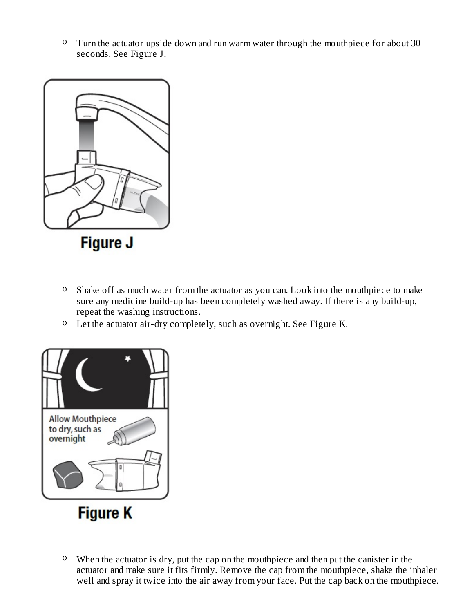o Turn the actuator upside down and run warm water through the mouthpiece for about 30 seconds. See Figure J.



- o Shake off as much water from the actuator as you can. Look into the mouthpiece to make sure any medicine build-up has been completely washed away. If there is any build-up, repeat the washing instructions.
- o Let the actuator air-dry completely, such as overnight. See Figure K.



o When the actuator is dry, put the cap on the mouthpiece and then put the canister in the actuator and make sure it fits firmly. Remove the cap from the mouthpiece, shake the inhaler well and spray it twice into the air away from your face. Put the cap back on the mouthpiece.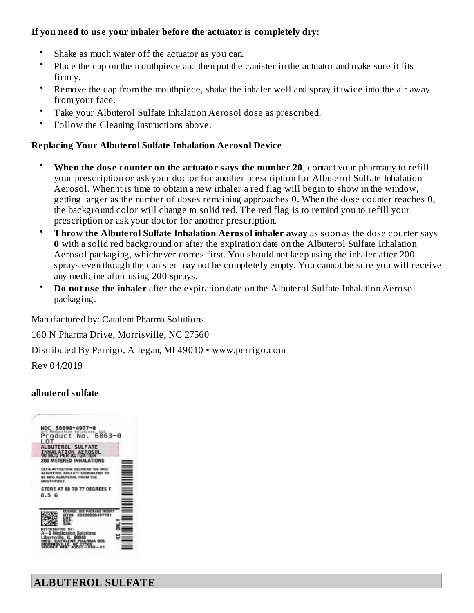### **If you need to us e your inhaler before the actuator is completely dry:**

- Shake as much water off the actuator as you can.
- Place the cap on the mouthpiece and then put the canister in the actuator and make sure it fits firmly.
- Remove the cap from the mouthpiece, shake the inhaler well and spray it twice into the air away from your face.
- Take your Albuterol Sulfate Inhalation Aerosol dose as prescribed.
- Follow the Cleaning Instructions above.

# **Replacing Your Albuterol Sulfate Inhalation Aerosol Device**

- **When the dos e counter on the actuator says the number 20**, contact your pharmacy to refill your prescription or ask your doctor for another prescription for Albuterol Sulfate Inhalation Aerosol. When it is time to obtain a new inhaler a red flag will begin to show in the window, getting larger as the number of doses remaining approaches 0. When the dose counter reaches 0, the background color will change to solid red. The red flag is to remind you to refill your prescription or ask your doctor for another prescription.
- **Throw the Albuterol Sulfate Inhalation Aerosol inhaler away** as soon as the dose counter says **0** with a solid red background or after the expiration date on the Albuterol Sulfate Inhalation Aerosol packaging, whichever comes first. You should not keep using the inhaler after 200 sprays even though the canister may not be completely empty. You cannot be sure you will receive any medicine after using 200 sprays.
- **Do** not use the *inhaler* after the expiration date on the Albuterol Sulfate Inhalation Aerosol packaging.

Manufactured by: Catalent Pharma Solutions

160 N Pharma Drive, Morrisville, NC 27560

Distributed By Perrigo, Allegan, MI 49010 • www.perrigo.com

Rev 04/2019

# **albuterol sulfate**

| NDC 50090-4977-0<br>A-5 Medication Solutions                                                     |                                |      |  |
|--------------------------------------------------------------------------------------------------|--------------------------------|------|--|
| Product No. 6863-0                                                                               |                                |      |  |
|                                                                                                  |                                |      |  |
| ALBUTEROL SULFATE                                                                                | <b>TION AEROSOL</b>            |      |  |
| <b>90 MCG PER ACTUA</b><br>200 METERED INHALATIONS                                               |                                |      |  |
| <b><i>FACH ACTUATION</i></b><br><b>ALBUTEROL SIRE</b><br>90 MCG ALBUTEROL FROM THE<br>MOUTHPIECE | JVERS 108<br>ATE EQUIVALENT TO |      |  |
| STORE AT 68 TO 77 DEGREES F                                                                      |                                |      |  |
| 8.5G                                                                                             |                                |      |  |
|                                                                                                  |                                |      |  |
|                                                                                                  | 0035009049                     | 7701 |  |
| DISTRIBUTE                                                                                       |                                |      |  |
|                                                                                                  | Indication Solutions           |      |  |
|                                                                                                  |                                | SOL  |  |
|                                                                                                  | 60048                          |      |  |

**ALBUTEROL SULFATE**